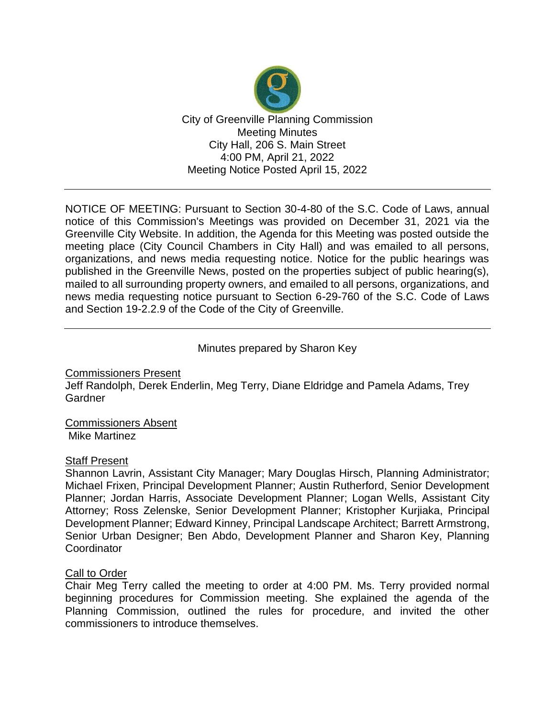

NOTICE OF MEETING: Pursuant to Section 30-4-80 of the S.C. Code of Laws, annual notice of this Commission's Meetings was provided on December 31, 2021 via the Greenville City Website. In addition, the Agenda for this Meeting was posted outside the meeting place (City Council Chambers in City Hall) and was emailed to all persons, organizations, and news media requesting notice. Notice for the public hearings was published in the Greenville News, posted on the properties subject of public hearing(s), mailed to all surrounding property owners, and emailed to all persons, organizations, and news media requesting notice pursuant to Section 6-29-760 of the S.C. Code of Laws and Section 19-2.2.9 of the Code of the City of Greenville.

### Minutes prepared by Sharon Key

Commissioners Present Jeff Randolph, Derek Enderlin, Meg Terry, Diane Eldridge and Pamela Adams, Trey Gardner

Commissioners Absent Mike Martinez

#### Staff Present

Shannon Lavrin, Assistant City Manager; Mary Douglas Hirsch, Planning Administrator; Michael Frixen, Principal Development Planner; Austin Rutherford, Senior Development Planner; Jordan Harris, Associate Development Planner; Logan Wells, Assistant City Attorney; Ross Zelenske, Senior Development Planner; Kristopher Kurjiaka, Principal Development Planner; Edward Kinney, Principal Landscape Architect; Barrett Armstrong, Senior Urban Designer; Ben Abdo, Development Planner and Sharon Key, Planning **Coordinator** 

#### Call to Order

Chair Meg Terry called the meeting to order at 4:00 PM. Ms. Terry provided normal beginning procedures for Commission meeting. She explained the agenda of the Planning Commission, outlined the rules for procedure, and invited the other commissioners to introduce themselves.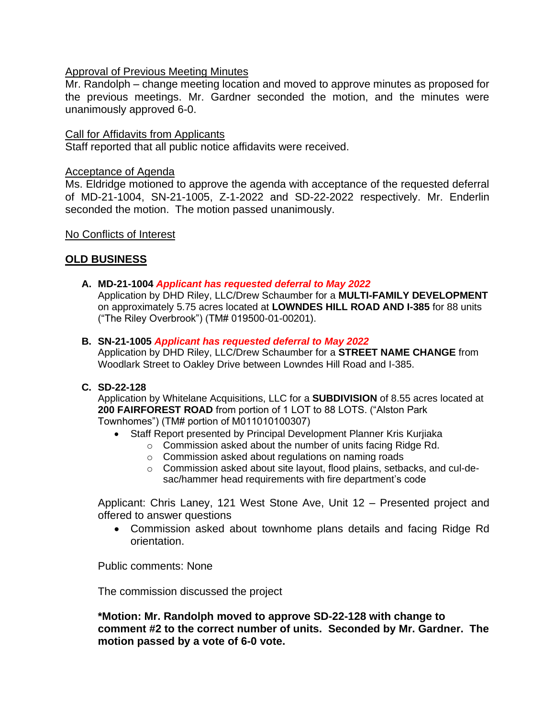### **Approval of Previous Meeting Minutes**

Mr. Randolph – change meeting location and moved to approve minutes as proposed for the previous meetings. Mr. Gardner seconded the motion, and the minutes were unanimously approved 6-0.

#### Call for Affidavits from Applicants

Staff reported that all public notice affidavits were received.

### Acceptance of Agenda

Ms. Eldridge motioned to approve the agenda with acceptance of the requested deferral of MD-21-1004, SN-21-1005, Z-1-2022 and SD-22-2022 respectively. Mr. Enderlin seconded the motion. The motion passed unanimously.

No Conflicts of Interest

# **OLD BUSINESS**

**A. MD-21-1004** *Applicant has requested deferral to May 2022*

Application by DHD Riley, LLC/Drew Schaumber for a **MULTI-FAMILY DEVELOPMENT** on approximately 5.75 acres located at **LOWNDES HILL ROAD AND I-385** for 88 units ("The Riley Overbrook") (TM# 019500-01-00201).

#### **B. SN-21-1005** *Applicant has requested deferral to May 2022*

Application by DHD Riley, LLC/Drew Schaumber for a **STREET NAME CHANGE** from Woodlark Street to Oakley Drive between Lowndes Hill Road and I-385.

**C. SD-22-128**

Application by Whitelane Acquisitions, LLC for a **SUBDIVISION** of 8.55 acres located at **200 FAIRFOREST ROAD** from portion of 1 LOT to 88 LOTS. ("Alston Park Townhomes") (TM# portion of M011010100307)

- Staff Report presented by Principal Development Planner Kris Kurjiaka
	- o Commission asked about the number of units facing Ridge Rd.
	- o Commission asked about regulations on naming roads
	- o Commission asked about site layout, flood plains, setbacks, and cul-desac/hammer head requirements with fire department's code

Applicant: Chris Laney, 121 West Stone Ave, Unit 12 – Presented project and offered to answer questions

• Commission asked about townhome plans details and facing Ridge Rd orientation.

Public comments: None

The commission discussed the project

**\*Motion: Mr. Randolph moved to approve SD-22-128 with change to comment #2 to the correct number of units. Seconded by Mr. Gardner. The motion passed by a vote of 6-0 vote.**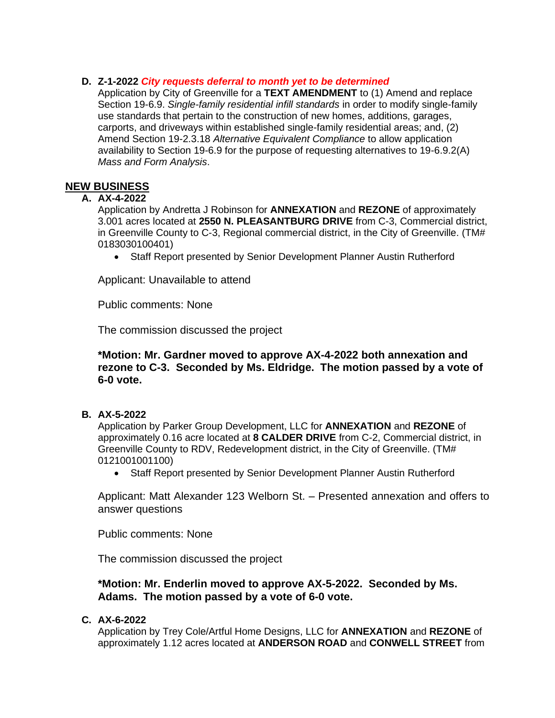#### **D. Z-1-2022** *City requests deferral to month yet to be determined*

Application by City of Greenville for a **TEXT AMENDMENT** to (1) Amend and replace Section 19-6.9. *Single-family residential infill standards* in order to modify single-family use standards that pertain to the construction of new homes, additions, garages, carports, and driveways within established single-family residential areas; and, (2) Amend Section 19-2.3.18 *Alternative Equivalent Compliance* to allow application availability to Section 19-6.9 for the purpose of requesting alternatives to 19-6.9.2(A) *Mass and Form Analysis*.

# **NEW BUSINESS**

### **A. AX-4-2022**

Application by Andretta J Robinson for **ANNEXATION** and **REZONE** of approximately 3.001 acres located at **2550 N. PLEASANTBURG DRIVE** from C-3, Commercial district, in Greenville County to C-3, Regional commercial district, in the City of Greenville. (TM# 0183030100401)

• Staff Report presented by Senior Development Planner Austin Rutherford

Applicant: Unavailable to attend

Public comments: None

The commission discussed the project

#### **\*Motion: Mr. Gardner moved to approve AX-4-2022 both annexation and rezone to C-3. Seconded by Ms. Eldridge. The motion passed by a vote of 6-0 vote.**

**B. AX-5-2022**

Application by Parker Group Development, LLC for **ANNEXATION** and **REZONE** of approximately 0.16 acre located at **8 CALDER DRIVE** from C-2, Commercial district, in Greenville County to RDV, Redevelopment district, in the City of Greenville. (TM# 0121001001100)

• Staff Report presented by Senior Development Planner Austin Rutherford

Applicant: Matt Alexander 123 Welborn St. – Presented annexation and offers to answer questions

Public comments: None

The commission discussed the project

### **\*Motion: Mr. Enderlin moved to approve AX-5-2022. Seconded by Ms. Adams. The motion passed by a vote of 6-0 vote.**

### **C. AX-6-2022**

Application by Trey Cole/Artful Home Designs, LLC for **ANNEXATION** and **REZONE** of approximately 1.12 acres located at **ANDERSON ROAD** and **CONWELL STREET** from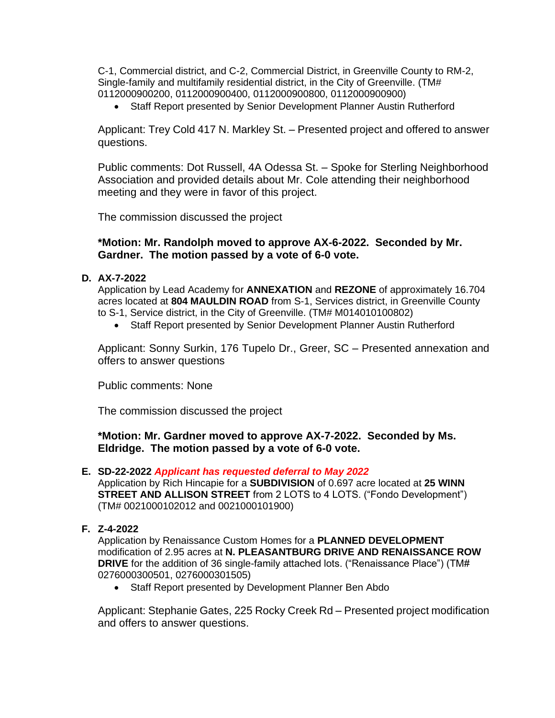C-1, Commercial district, and C-2, Commercial District, in Greenville County to RM-2, Single-family and multifamily residential district, in the City of Greenville. (TM# 0112000900200, 0112000900400, 0112000900800, 0112000900900)

• Staff Report presented by Senior Development Planner Austin Rutherford

Applicant: Trey Cold 417 N. Markley St. – Presented project and offered to answer questions.

Public comments: Dot Russell, 4A Odessa St. – Spoke for Sterling Neighborhood Association and provided details about Mr. Cole attending their neighborhood meeting and they were in favor of this project.

The commission discussed the project

#### **\*Motion: Mr. Randolph moved to approve AX-6-2022. Seconded by Mr. Gardner. The motion passed by a vote of 6-0 vote.**

#### **D. AX-7-2022**

Application by Lead Academy for **ANNEXATION** and **REZONE** of approximately 16.704 acres located at **804 MAULDIN ROAD** from S-1, Services district, in Greenville County to S-1, Service district, in the City of Greenville. (TM# M014010100802)

• Staff Report presented by Senior Development Planner Austin Rutherford

Applicant: Sonny Surkin, 176 Tupelo Dr., Greer, SC – Presented annexation and offers to answer questions

Public comments: None

The commission discussed the project

#### **\*Motion: Mr. Gardner moved to approve AX-7-2022. Seconded by Ms. Eldridge. The motion passed by a vote of 6-0 vote.**

#### **E. SD-22-2022** *Applicant has requested deferral to May 2022*

Application by Rich Hincapie for a **SUBDIVISION** of 0.697 acre located at **25 WINN STREET AND ALLISON STREET** from 2 LOTS to 4 LOTS. ("Fondo Development") (TM# 0021000102012 and 0021000101900)

#### **F. Z-4-2022**

Application by Renaissance Custom Homes for a **PLANNED DEVELOPMENT**  modification of 2.95 acres at **N. PLEASANTBURG DRIVE AND RENAISSANCE ROW DRIVE** for the addition of 36 single-family attached lots. ("Renaissance Place") (TM# 0276000300501, 0276000301505)

• Staff Report presented by Development Planner Ben Abdo

Applicant: Stephanie Gates, 225 Rocky Creek Rd – Presented project modification and offers to answer questions.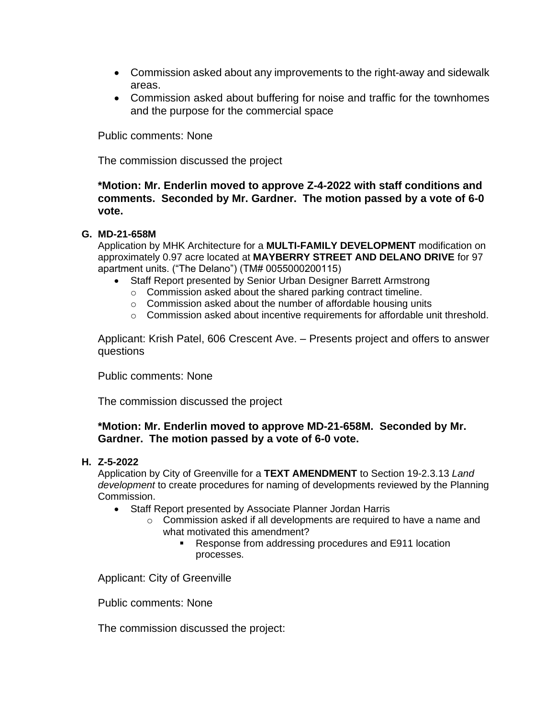- Commission asked about any improvements to the right-away and sidewalk areas.
- Commission asked about buffering for noise and traffic for the townhomes and the purpose for the commercial space

Public comments: None

The commission discussed the project

**\*Motion: Mr. Enderlin moved to approve Z-4-2022 with staff conditions and comments. Seconded by Mr. Gardner. The motion passed by a vote of 6-0 vote.**

#### **G. MD-21-658M**

Application by MHK Architecture for a **MULTI-FAMILY DEVELOPMENT** modification on approximately 0.97 acre located at **MAYBERRY STREET AND DELANO DRIVE** for 97 apartment units. ("The Delano") (TM# 0055000200115)

- Staff Report presented by Senior Urban Designer Barrett Armstrong
	- o Commission asked about the shared parking contract timeline.
	- o Commission asked about the number of affordable housing units
	- $\circ$  Commission asked about incentive requirements for affordable unit threshold.

Applicant: Krish Patel, 606 Crescent Ave. – Presents project and offers to answer questions

Public comments: None

The commission discussed the project

## **\*Motion: Mr. Enderlin moved to approve MD-21-658M. Seconded by Mr. Gardner. The motion passed by a vote of 6-0 vote.**

#### **H. Z-5-2022**

Application by City of Greenville for a **TEXT AMENDMENT** to Section 19-2.3.13 *Land development* to create procedures for naming of developments reviewed by the Planning Commission.

- Staff Report presented by Associate Planner Jordan Harris
	- o Commission asked if all developments are required to have a name and what motivated this amendment?
		- Response from addressing procedures and E911 location processes.

Applicant: City of Greenville

Public comments: None

The commission discussed the project: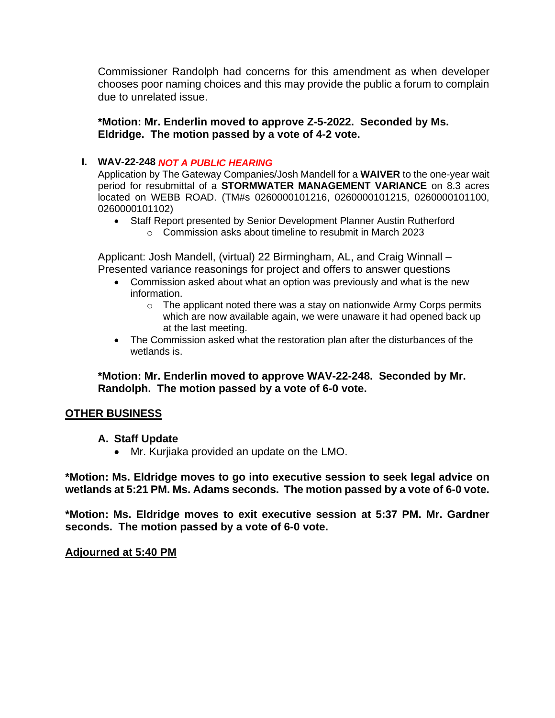Commissioner Randolph had concerns for this amendment as when developer chooses poor naming choices and this may provide the public a forum to complain due to unrelated issue.

**\*Motion: Mr. Enderlin moved to approve Z-5-2022. Seconded by Ms. Eldridge. The motion passed by a vote of 4-2 vote.**

## **I. WAV-22-248** *NOT A PUBLIC HEARING*

Application by The Gateway Companies/Josh Mandell for a **WAIVER** to the one-year wait period for resubmittal of a **STORMWATER MANAGEMENT VARIANCE** on 8.3 acres located on WEBB ROAD. (TM#s 0260000101216, 0260000101215, 0260000101100, 0260000101102)

- Staff Report presented by Senior Development Planner Austin Rutherford
	- o Commission asks about timeline to resubmit in March 2023

Applicant: Josh Mandell, (virtual) 22 Birmingham, AL, and Craig Winnall – Presented variance reasonings for project and offers to answer questions

- Commission asked about what an option was previously and what is the new information.
	- o The applicant noted there was a stay on nationwide Army Corps permits which are now available again, we were unaware it had opened back up at the last meeting.
- The Commission asked what the restoration plan after the disturbances of the wetlands is.

**\*Motion: Mr. Enderlin moved to approve WAV-22-248. Seconded by Mr. Randolph. The motion passed by a vote of 6-0 vote.**

## **OTHER BUSINESS**

## **A. Staff Update**

• Mr. Kurjiaka provided an update on the LMO.

**\*Motion: Ms. Eldridge moves to go into executive session to seek legal advice on wetlands at 5:21 PM. Ms. Adams seconds. The motion passed by a vote of 6-0 vote.**

**\*Motion: Ms. Eldridge moves to exit executive session at 5:37 PM. Mr. Gardner seconds. The motion passed by a vote of 6-0 vote.**

## **Adjourned at 5:40 PM**